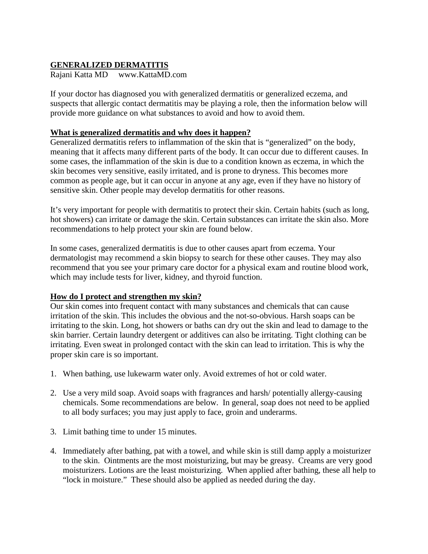## **GENERALIZED DERMATITIS**

Rajani Katta MD www.KattaMD.com

If your doctor has diagnosed you with generalized dermatitis or generalized eczema, and suspects that allergic contact dermatitis may be playing a role, then the information below will provide more guidance on what substances to avoid and how to avoid them.

#### **What is generalized dermatitis and why does it happen?**

Generalized dermatitis refers to inflammation of the skin that is "generalized" on the body, meaning that it affects many different parts of the body. It can occur due to different causes. In some cases, the inflammation of the skin is due to a condition known as eczema, in which the skin becomes very sensitive, easily irritated, and is prone to dryness. This becomes more common as people age, but it can occur in anyone at any age, even if they have no history of sensitive skin. Other people may develop dermatitis for other reasons.

It's very important for people with dermatitis to protect their skin. Certain habits (such as long, hot showers) can irritate or damage the skin. Certain substances can irritate the skin also. More recommendations to help protect your skin are found below.

In some cases, generalized dermatitis is due to other causes apart from eczema. Your dermatologist may recommend a skin biopsy to search for these other causes. They may also recommend that you see your primary care doctor for a physical exam and routine blood work, which may include tests for liver, kidney, and thyroid function.

### **How do I protect and strengthen my skin?**

Our skin comes into frequent contact with many substances and chemicals that can cause irritation of the skin. This includes the obvious and the not-so-obvious. Harsh soaps can be irritating to the skin. Long, hot showers or baths can dry out the skin and lead to damage to the skin barrier. Certain laundry detergent or additives can also be irritating. Tight clothing can be irritating. Even sweat in prolonged contact with the skin can lead to irritation. This is why the proper skin care is so important.

- 1. When bathing, use lukewarm water only. Avoid extremes of hot or cold water.
- 2. Use a very mild soap. Avoid soaps with fragrances and harsh/ potentially allergy-causing chemicals. Some recommendations are below. In general, soap does not need to be applied to all body surfaces; you may just apply to face, groin and underarms.
- 3. Limit bathing time to under 15 minutes.
- 4. Immediately after bathing, pat with a towel, and while skin is still damp apply a moisturizer to the skin. Ointments are the most moisturizing, but may be greasy. Creams are very good moisturizers. Lotions are the least moisturizing. When applied after bathing, these all help to "lock in moisture." These should also be applied as needed during the day.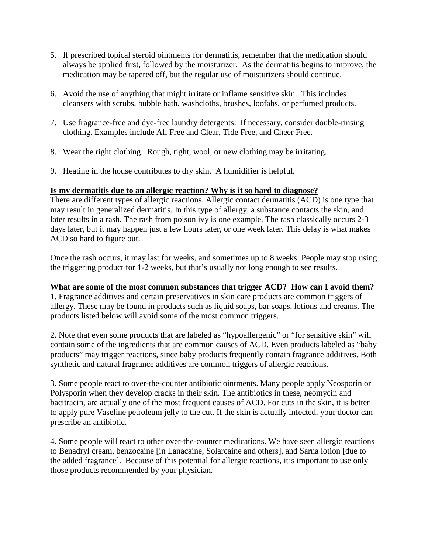- 5. If prescribed topical steroid ointments for dermatitis, remember that the medication should always be applied first, followed by the moisturizer. As the dermatitis begins to improve, the medication may be tapered off, but the regular use of moisturizers should continue.
- 6. Avoid the use of anything that might irritate or inflame sensitive skin. This includes cleansers with scrubs, bubble bath, washcloths, brushes, loofahs, or perfumed products.
- 7. Use fragrance-free and dye-free laundry detergents. If necessary, consider double-rinsing clothing. Examples include All Free and Clear, Tide Free, and Cheer Free.
- 8. Wear the right clothing. Rough, tight, wool, or new clothing may be irritating.
- 9. Heating in the house contributes to dry skin. A humidifier is helpful.

# **Is my dermatitis due to an allergic reaction? Why is it so hard to diagnose?**

There are different types of allergic reactions. Allergic contact dermatitis (ACD) is one type that may result in generalized dermatitis. In this type of allergy, a substance contacts the skin, and later results in a rash. The rash from poison ivy is one example. The rash classically occurs 2-3 days later, but it may happen just a few hours later, or one week later. This delay is what makes ACD so hard to figure out.

Once the rash occurs, it may last for weeks, and sometimes up to 8 weeks. People may stop using the triggering product for 1-2 weeks, but that's usually not long enough to see results.

### **What are some of the most common substances that trigger ACD? How can I avoid them?**

1. Fragrance additives and certain preservatives in skin care products are common triggers of allergy. These may be found in products such as liquid soaps, bar soaps, lotions and creams. The products listed below will avoid some of the most common triggers.

2. Note that even some products that are labeled as "hypoallergenic" or "for sensitive skin" will contain some of the ingredients that are common causes of ACD. Even products labeled as "baby products" may trigger reactions, since baby products frequently contain fragrance additives. Both synthetic and natural fragrance additives are common triggers of allergic reactions.

3. Some people react to over-the-counter antibiotic ointments. Many people apply Neosporin or Polysporin when they develop cracks in their skin. The antibiotics in these, neomycin and bacitracin, are actually one of the most frequent causes of ACD. For cuts in the skin, it is better to apply pure Vaseline petroleum jelly to the cut. If the skin is actually infected, your doctor can prescribe an antibiotic.

4. Some people will react to other over-the-counter medications. We have seen allergic reactions to Benadryl cream, benzocaine [in Lanacaine, Solarcaine and others], and Sarna lotion [due to the added fragrance]. Because of this potential for allergic reactions, it's important to use only those products recommended by your physician.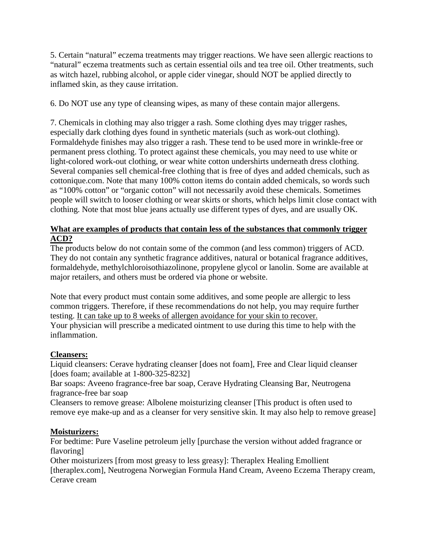5. Certain "natural" eczema treatments may trigger reactions. We have seen allergic reactions to "natural" eczema treatments such as certain essential oils and tea tree oil. Other treatments, such as witch hazel, rubbing alcohol, or apple cider vinegar, should NOT be applied directly to inflamed skin, as they cause irritation.

6. Do NOT use any type of cleansing wipes, as many of these contain major allergens.

7. Chemicals in clothing may also trigger a rash. Some clothing dyes may trigger rashes, especially dark clothing dyes found in synthetic materials (such as work-out clothing). Formaldehyde finishes may also trigger a rash. These tend to be used more in wrinkle-free or permanent press clothing. To protect against these chemicals, you may need to use white or light-colored work-out clothing, or wear white cotton undershirts underneath dress clothing. Several companies sell chemical-free clothing that is free of dyes and added chemicals, such as cottonique.com. Note that many 100% cotton items do contain added chemicals, so words such as "100% cotton" or "organic cotton" will not necessarily avoid these chemicals. Sometimes people will switch to looser clothing or wear skirts or shorts, which helps limit close contact with clothing. Note that most blue jeans actually use different types of dyes, and are usually OK.

### **What are examples of products that contain less of the substances that commonly trigger ACD?**

The products below do not contain some of the common (and less common) triggers of ACD. They do not contain any synthetic fragrance additives, natural or botanical fragrance additives, formaldehyde, methylchloroisothiazolinone, propylene glycol or lanolin. Some are available at major retailers, and others must be ordered via phone or website.

Note that every product must contain some additives, and some people are allergic to less common triggers. Therefore, if these recommendations do not help, you may require further testing. It can take up to 8 weeks of allergen avoidance for your skin to recover. Your physician will prescribe a medicated ointment to use during this time to help with the inflammation.

### **Cleansers:**

Liquid cleansers: Cerave hydrating cleanser [does not foam], Free and Clear liquid cleanser [does foam; available at 1-800-325-8232]

Bar soaps: Aveeno fragrance-free bar soap, Cerave Hydrating Cleansing Bar, Neutrogena fragrance-free bar soap

Cleansers to remove grease: Albolene moisturizing cleanser [This product is often used to remove eye make-up and as a cleanser for very sensitive skin. It may also help to remove grease]

### **Moisturizers:**

For bedtime: Pure Vaseline petroleum jelly [purchase the version without added fragrance or flavoring]

Other moisturizers [from most greasy to less greasy]: Theraplex Healing Emollient [theraplex.com], Neutrogena Norwegian Formula Hand Cream, Aveeno Eczema Therapy cream, Cerave cream